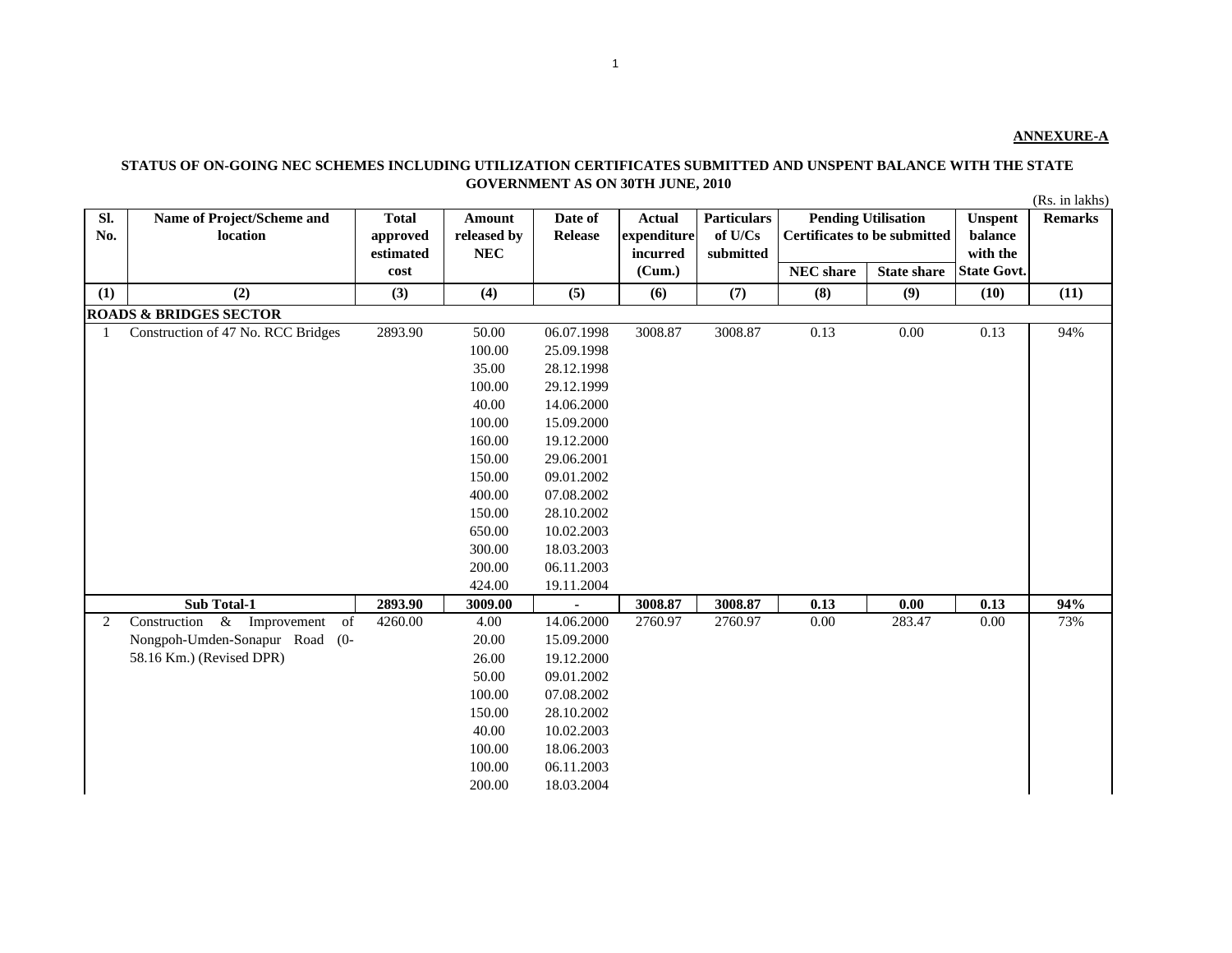## **STATUS OF ON-GOING NEC SCHEMES INCLUDING UTILIZATION CERTIFICATES SUBMITTED AND UNSPENT BALANCE WITH THE STATE GOVERNMENT AS ON 30TH JUNE, 2010**

(Rs. in lakhs)

| Sl.<br>No. | Name of Project/Scheme and<br>location | <b>Total</b><br>approved | Amount<br>released by | Date of<br><b>Release</b> | <b>Actual</b><br>expenditure | <b>Particulars</b><br>of U/Cs | Certificates to be submitted | <b>Pending Utilisation</b> | <b>Unspent</b><br>balance | <b>Remarks</b> |
|------------|----------------------------------------|--------------------------|-----------------------|---------------------------|------------------------------|-------------------------------|------------------------------|----------------------------|---------------------------|----------------|
|            |                                        | estimated                | <b>NEC</b>            |                           | incurred                     | submitted                     |                              |                            | with the                  |                |
|            |                                        | cost                     |                       |                           | (Cum.)                       |                               | <b>NEC</b> share             | <b>State share</b>         | <b>State Govt.</b>        |                |
| (1)        | (2)                                    | (3)                      | (4)                   | (5)                       | (6)                          | (7)                           | (8)                          | (9)                        | (10)                      | (11)           |
|            | <b>ROADS &amp; BRIDGES SECTOR</b>      |                          |                       |                           |                              |                               |                              |                            |                           |                |
|            | Construction of 47 No. RCC Bridges     | 2893.90                  | 50.00                 | 06.07.1998                | 3008.87                      | 3008.87                       | 0.13                         | $0.00\,$                   | 0.13                      | 94%            |
|            |                                        |                          | 100.00                | 25.09.1998                |                              |                               |                              |                            |                           |                |
|            |                                        |                          | 35.00                 | 28.12.1998                |                              |                               |                              |                            |                           |                |
|            |                                        |                          | 100.00                | 29.12.1999                |                              |                               |                              |                            |                           |                |
|            |                                        |                          | 40.00                 | 14.06.2000                |                              |                               |                              |                            |                           |                |
|            |                                        |                          | 100.00                | 15.09.2000                |                              |                               |                              |                            |                           |                |
|            |                                        |                          | 160.00                | 19.12.2000                |                              |                               |                              |                            |                           |                |
|            |                                        |                          | 150.00                | 29.06.2001                |                              |                               |                              |                            |                           |                |
|            |                                        |                          | 150.00                | 09.01.2002                |                              |                               |                              |                            |                           |                |
|            |                                        |                          | 400.00                | 07.08.2002                |                              |                               |                              |                            |                           |                |
|            |                                        |                          | 150.00                | 28.10.2002                |                              |                               |                              |                            |                           |                |
|            |                                        |                          | 650.00                | 10.02.2003                |                              |                               |                              |                            |                           |                |
|            |                                        |                          | 300.00                | 18.03.2003                |                              |                               |                              |                            |                           |                |
|            |                                        |                          | 200.00                | 06.11.2003                |                              |                               |                              |                            |                           |                |
|            |                                        |                          | 424.00                | 19.11.2004                |                              |                               |                              |                            |                           |                |
|            | Sub Total-1                            | 2893.90                  | 3009.00               |                           | 3008.87                      | 3008.87                       | 0.13                         | 0.00                       | 0.13                      | 94%            |
| 2          | & Improvement<br>Construction<br>of    | 4260.00                  | 4.00                  | 14.06.2000                | 2760.97                      | 2760.97                       | 0.00                         | 283.47                     | 0.00                      | 73%            |
|            | Nongpoh-Umden-Sonapur Road (0-         |                          | 20.00                 | 15.09.2000                |                              |                               |                              |                            |                           |                |
|            | 58.16 Km.) (Revised DPR)               |                          | 26.00                 | 19.12.2000                |                              |                               |                              |                            |                           |                |
|            |                                        |                          | 50.00                 | 09.01.2002                |                              |                               |                              |                            |                           |                |
|            |                                        |                          | 100.00                | 07.08.2002                |                              |                               |                              |                            |                           |                |
|            |                                        |                          | 150.00                | 28.10.2002                |                              |                               |                              |                            |                           |                |
|            |                                        |                          | 40.00                 | 10.02.2003                |                              |                               |                              |                            |                           |                |
|            |                                        |                          | 100.00                | 18.06.2003                |                              |                               |                              |                            |                           |                |
|            |                                        |                          | 100.00                | 06.11.2003                |                              |                               |                              |                            |                           |                |
|            |                                        |                          | 200.00                | 18.03.2004                |                              |                               |                              |                            |                           |                |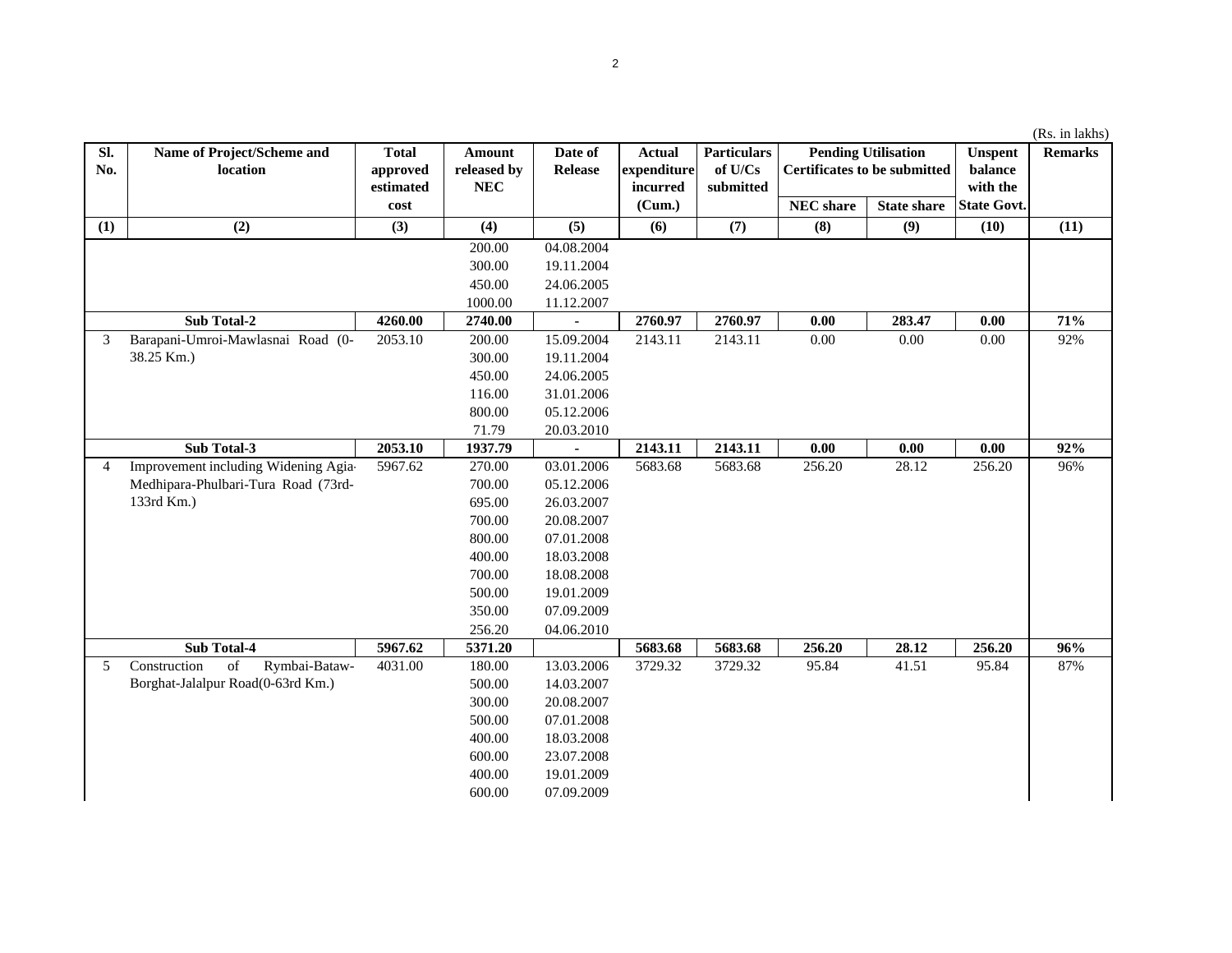|  | (Rs. in lakhs) |
|--|----------------|
|  |                |

| Sl.<br>No.     | Name of Project/Scheme and<br>location                                                                                              | <b>Total</b><br>approved | Amount<br>released by | Date of<br><b>Release</b> | <b>Actual</b><br>expenditure | <b>Particulars</b><br>of $U/Cs$ |                  | <b>Pending Utilisation</b><br><b>Certificates to be submitted</b> | <b>Unspent</b><br>balance | <b>Remarks</b> |
|----------------|-------------------------------------------------------------------------------------------------------------------------------------|--------------------------|-----------------------|---------------------------|------------------------------|---------------------------------|------------------|-------------------------------------------------------------------|---------------------------|----------------|
|                |                                                                                                                                     | estimated                | <b>NEC</b>            |                           | incurred                     | submitted                       |                  |                                                                   | with the                  |                |
|                |                                                                                                                                     | cost                     |                       |                           | (Cum.)                       |                                 | <b>NEC</b> share | <b>State share</b>                                                | <b>State Govt.</b>        |                |
| (1)            | (2)                                                                                                                                 | (3)                      | (4)                   | (5)                       | (6)                          | (7)                             | (8)              | (9)                                                               | (10)                      | (11)           |
|                |                                                                                                                                     |                          | 200.00                | 04.08.2004                |                              |                                 |                  |                                                                   |                           |                |
|                |                                                                                                                                     |                          | 300.00                | 19.11.2004                |                              |                                 |                  |                                                                   |                           |                |
|                |                                                                                                                                     |                          | 450.00                | 24.06.2005                |                              |                                 |                  |                                                                   |                           |                |
|                |                                                                                                                                     |                          | 1000.00               | 11.12.2007                |                              |                                 |                  |                                                                   |                           |                |
|                | Sub Total-2                                                                                                                         | 4260.00                  | 2740.00               |                           | 2760.97                      | 2760.97                         | 0.00             | 283.47                                                            | 0.00                      | 71%            |
| 3              | Barapani-Umroi-Mawlasnai Road (0-                                                                                                   | 2053.10                  | 200.00                | 15.09.2004                | 2143.11                      | 2143.11                         | 0.00             | 0.00                                                              | 0.00                      | 92%            |
|                | 38.25 Km.)                                                                                                                          |                          | 300.00                | 19.11.2004                |                              |                                 |                  |                                                                   |                           |                |
|                |                                                                                                                                     |                          | 450.00                | 24.06.2005                |                              |                                 |                  |                                                                   |                           |                |
|                |                                                                                                                                     |                          | 116.00                | 31.01.2006                |                              |                                 |                  |                                                                   |                           |                |
|                |                                                                                                                                     |                          | 800.00                | 05.12.2006                |                              |                                 |                  |                                                                   |                           |                |
|                |                                                                                                                                     |                          | 71.79                 | 20.03.2010                |                              |                                 |                  |                                                                   |                           |                |
|                | Sub Total-3                                                                                                                         | 2053.10                  | 1937.79               |                           | 2143.11                      | 2143.11                         | 0.00             | $0.00\,$                                                          | 0.00                      | 92%            |
| $\overline{4}$ | Improvement including Widening Agia-                                                                                                | 5967.62                  | 270.00                | 03.01.2006                | 5683.68                      | 5683.68                         | 256.20           | 28.12                                                             | 256.20                    | 96%            |
|                | Medhipara-Phulbari-Tura Road (73rd-                                                                                                 |                          | 700.00                | 05.12.2006                |                              |                                 |                  |                                                                   |                           |                |
|                | 133rd Km.)                                                                                                                          |                          | 695.00                | 26.03.2007                |                              |                                 |                  |                                                                   |                           |                |
|                |                                                                                                                                     |                          | 700.00                | 20.08.2007                |                              |                                 |                  |                                                                   |                           |                |
|                |                                                                                                                                     |                          | 800.00                | 07.01.2008                |                              |                                 |                  |                                                                   |                           |                |
|                |                                                                                                                                     |                          | 400.00                | 18.03.2008                |                              |                                 |                  |                                                                   |                           |                |
|                |                                                                                                                                     |                          | 700.00                | 18.08.2008                |                              |                                 |                  |                                                                   |                           |                |
|                |                                                                                                                                     |                          | 500.00                | 19.01.2009                |                              |                                 |                  |                                                                   |                           |                |
|                |                                                                                                                                     |                          | 350.00                | 07.09.2009                |                              |                                 |                  |                                                                   |                           |                |
|                |                                                                                                                                     |                          | 256.20                | 04.06.2010                |                              |                                 |                  |                                                                   |                           |                |
|                | Sub Total-4                                                                                                                         | 5967.62                  | 5371.20               |                           | 5683.68                      | 5683.68                         | 256.20           | 28.12                                                             | 256.20                    | 96%            |
| 5              | $% \left( \left( \mathcal{A},\mathcal{A}\right) \right) =\left( \mathcal{A},\mathcal{A}\right)$ of<br>Construction<br>Rymbai-Bataw- | 4031.00                  | 180.00                | 13.03.2006                | 3729.32                      | 3729.32                         | 95.84            | 41.51                                                             | 95.84                     | 87%            |
|                | Borghat-Jalalpur Road(0-63rd Km.)                                                                                                   |                          | 500.00                | 14.03.2007                |                              |                                 |                  |                                                                   |                           |                |
|                |                                                                                                                                     |                          | 300.00                | 20.08.2007                |                              |                                 |                  |                                                                   |                           |                |
|                |                                                                                                                                     |                          | 500.00                | 07.01.2008                |                              |                                 |                  |                                                                   |                           |                |
|                |                                                                                                                                     |                          | 400.00                | 18.03.2008                |                              |                                 |                  |                                                                   |                           |                |
|                |                                                                                                                                     |                          | 600.00                | 23.07.2008                |                              |                                 |                  |                                                                   |                           |                |
|                |                                                                                                                                     |                          | 400.00                | 19.01.2009                |                              |                                 |                  |                                                                   |                           |                |
|                |                                                                                                                                     |                          | 600.00                | 07.09.2009                |                              |                                 |                  |                                                                   |                           |                |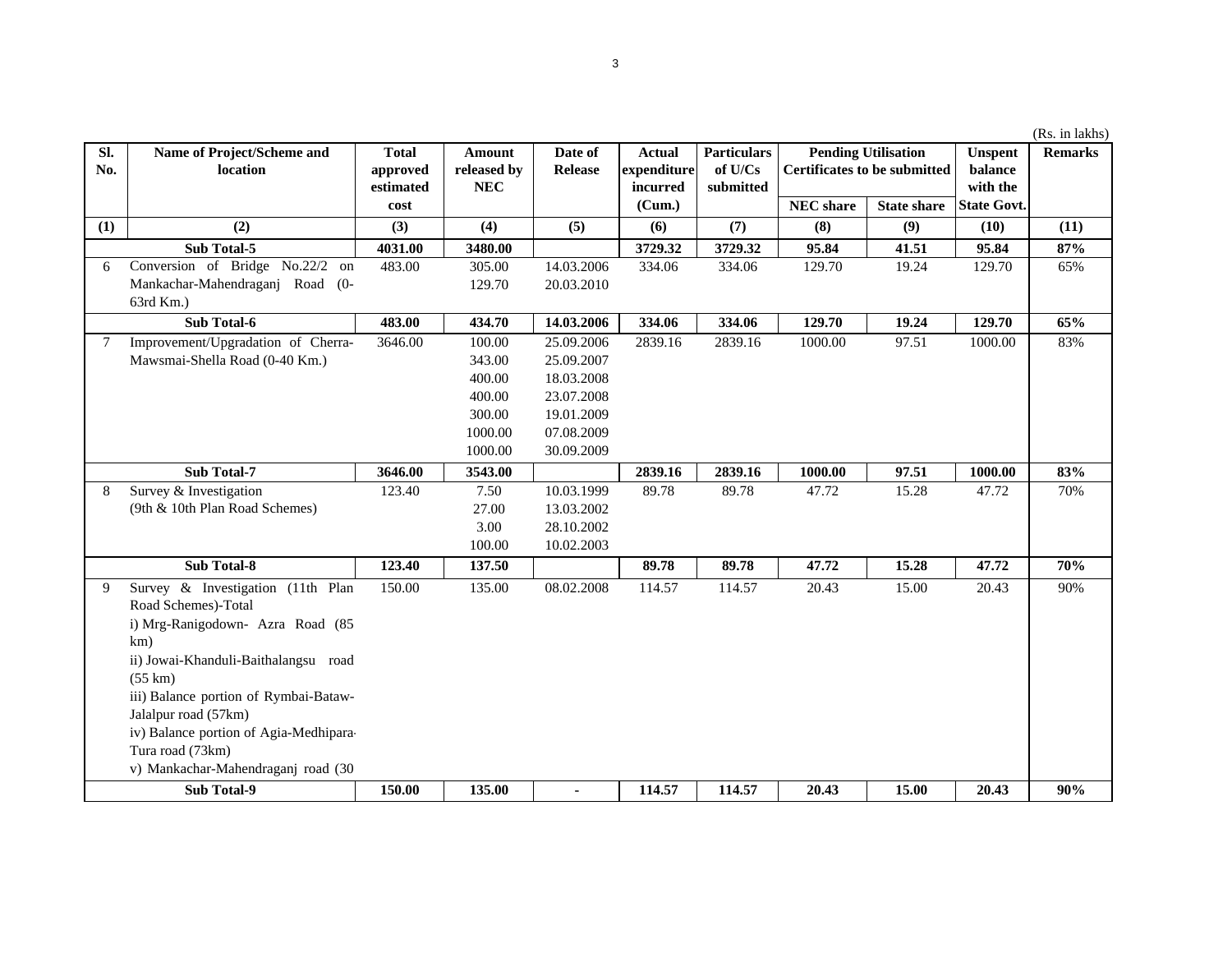| $\overline{\phantom{a}}$ |  |  |  |  |
|--------------------------|--|--|--|--|

|            |                                        |                          |                              |                           |                                          |                                            |                                                                   |                    |                                       | (Rs. in lakhs) |
|------------|----------------------------------------|--------------------------|------------------------------|---------------------------|------------------------------------------|--------------------------------------------|-------------------------------------------------------------------|--------------------|---------------------------------------|----------------|
| SI.<br>No. | Name of Project/Scheme and<br>location | <b>Total</b><br>approved | Amount<br>released by<br>NEC | Date of<br><b>Release</b> | <b>Actual</b><br>expenditure<br>incurred | <b>Particulars</b><br>of U/Cs<br>submitted | <b>Pending Utilisation</b><br><b>Certificates to be submitted</b> |                    | <b>Unspent</b><br>balance<br>with the | <b>Remarks</b> |
|            |                                        | estimated<br>cost        |                              |                           | (Cum.)                                   |                                            | <b>NEC</b> share                                                  | <b>State share</b> | <b>State Govt.</b>                    |                |
| (1)        | (2)                                    | (3)                      | (4)                          | (5)                       | (6)                                      | (7)                                        | (8)                                                               | (9)                | (10)                                  | (11)           |
|            | Sub Total-5                            | 4031.00                  | 3480.00                      |                           | 3729.32                                  | 3729.32                                    | 95.84                                                             | 41.51              | 95.84                                 | 87%            |
| 6          | Conversion of Bridge No.22/2 on        | 483.00                   | 305.00                       | 14.03.2006                | 334.06                                   | 334.06                                     | 129.70                                                            | 19.24              | 129.70                                | 65%            |
|            | Mankachar-Mahendraganj Road (0-        |                          | 129.70                       | 20.03.2010                |                                          |                                            |                                                                   |                    |                                       |                |
|            | 63rd Km.)                              |                          |                              |                           |                                          |                                            |                                                                   |                    |                                       |                |
|            | Sub Total-6                            | 483.00                   | 434.70                       | 14.03.2006                | 334.06                                   | 334.06                                     | 129.70                                                            | 19.24              | 129.70                                | 65%            |
| 7          | Improvement/Upgradation of Cherra-     | 3646.00                  | 100.00                       | 25.09.2006                | 2839.16                                  | 2839.16                                    | 1000.00                                                           | 97.51              | 1000.00                               | 83%            |
|            | Mawsmai-Shella Road (0-40 Km.)         |                          | 343.00                       | 25.09.2007                |                                          |                                            |                                                                   |                    |                                       |                |
|            |                                        |                          | 400.00                       | 18.03.2008                |                                          |                                            |                                                                   |                    |                                       |                |
|            |                                        |                          | 400.00                       | 23.07.2008                |                                          |                                            |                                                                   |                    |                                       |                |
|            |                                        |                          | 300.00                       | 19.01.2009                |                                          |                                            |                                                                   |                    |                                       |                |
|            |                                        |                          | 1000.00                      | 07.08.2009                |                                          |                                            |                                                                   |                    |                                       |                |
|            |                                        |                          | 1000.00                      | 30.09.2009                |                                          |                                            |                                                                   |                    |                                       |                |
|            | Sub Total-7                            | 3646.00                  | 3543.00                      |                           | 2839.16                                  | 2839.16                                    | 1000.00                                                           | 97.51              | 1000.00                               | 83%            |
| 8          | Survey & Investigation                 | 123.40                   | 7.50                         | 10.03.1999                | 89.78                                    | 89.78                                      | 47.72                                                             | 15.28              | 47.72                                 | 70%            |
|            | (9th & 10th Plan Road Schemes)         |                          | 27.00                        | 13.03.2002                |                                          |                                            |                                                                   |                    |                                       |                |
|            |                                        |                          | 3.00                         | 28.10.2002                |                                          |                                            |                                                                   |                    |                                       |                |
|            |                                        |                          | 100.00                       | 10.02.2003                |                                          |                                            |                                                                   |                    |                                       |                |
|            | <b>Sub Total-8</b>                     | 123.40                   | 137.50                       |                           | 89.78                                    | 89.78                                      | 47.72                                                             | 15.28              | 47.72                                 | 70%            |
| 9          | Survey & Investigation (11th Plan      | 150.00                   | 135.00                       | 08.02.2008                | 114.57                                   | 114.57                                     | 20.43                                                             | 15.00              | 20.43                                 | 90%            |
|            | Road Schemes)-Total                    |                          |                              |                           |                                          |                                            |                                                                   |                    |                                       |                |
|            | i) Mrg-Ranigodown- Azra Road (85       |                          |                              |                           |                                          |                                            |                                                                   |                    |                                       |                |
|            | km)                                    |                          |                              |                           |                                          |                                            |                                                                   |                    |                                       |                |
|            | ii) Jowai-Khanduli-Baithalangsu road   |                          |                              |                           |                                          |                                            |                                                                   |                    |                                       |                |
|            | $(55 \text{ km})$                      |                          |                              |                           |                                          |                                            |                                                                   |                    |                                       |                |
|            | iii) Balance portion of Rymbai-Bataw-  |                          |                              |                           |                                          |                                            |                                                                   |                    |                                       |                |
|            | Jalalpur road (57km)                   |                          |                              |                           |                                          |                                            |                                                                   |                    |                                       |                |
|            | iv) Balance portion of Agia-Medhipara  |                          |                              |                           |                                          |                                            |                                                                   |                    |                                       |                |
|            | Tura road (73km)                       |                          |                              |                           |                                          |                                            |                                                                   |                    |                                       |                |
|            | v) Mankachar-Mahendraganj road (30     |                          |                              |                           |                                          |                                            |                                                                   |                    |                                       |                |
|            | <b>Sub Total-9</b>                     | 150.00                   | 135.00                       |                           | 114.57                                   | 114.57                                     | 20.43                                                             | 15.00              | 20.43                                 | 90%            |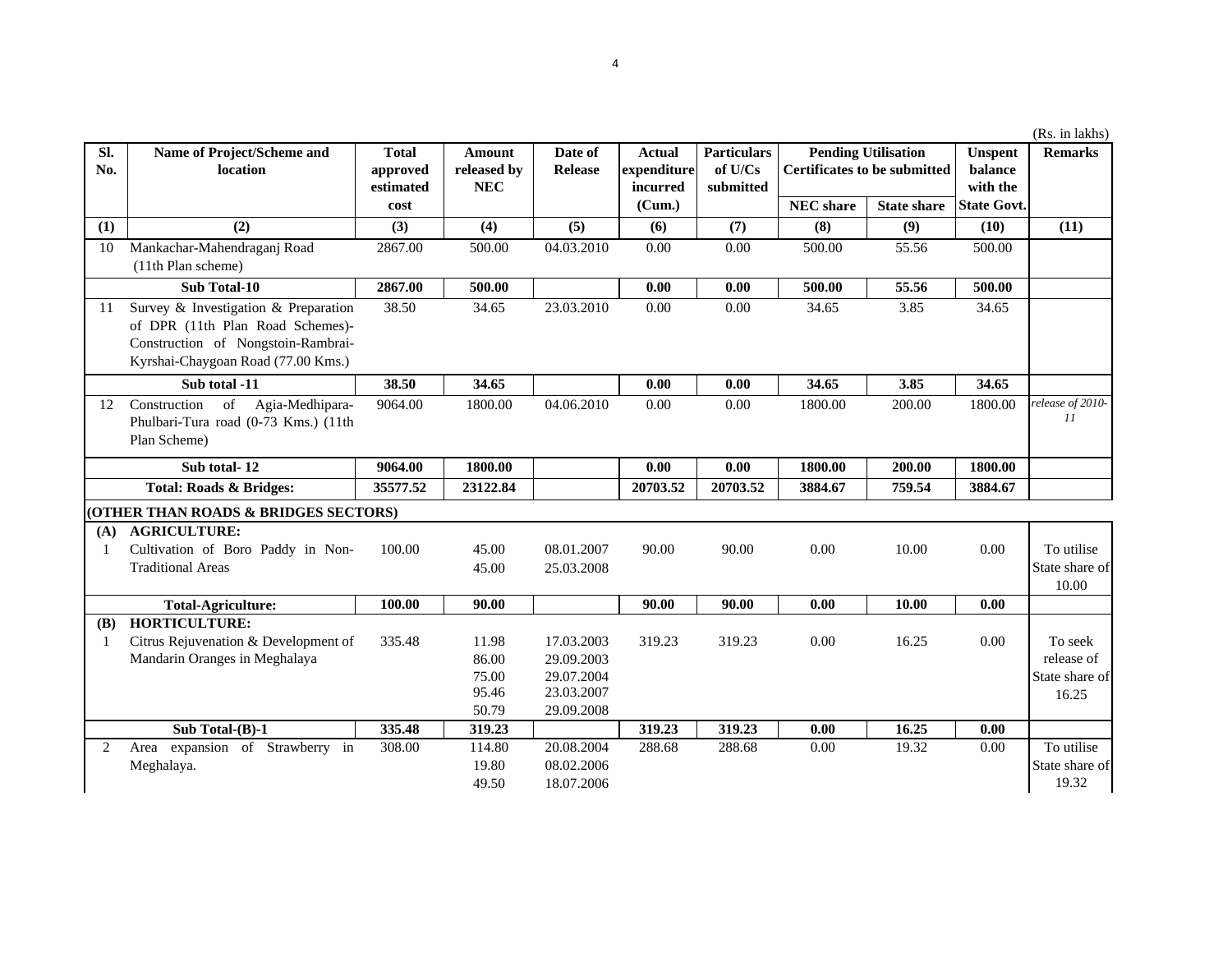|            |                                                                                                                                                                                               |                                       |                                            |                           |                                          |                                            |                  |                                                                   |                                       | (Rs. in lakhs)          |
|------------|-----------------------------------------------------------------------------------------------------------------------------------------------------------------------------------------------|---------------------------------------|--------------------------------------------|---------------------------|------------------------------------------|--------------------------------------------|------------------|-------------------------------------------------------------------|---------------------------------------|-------------------------|
| Sl.<br>No. | Name of Project/Scheme and<br>location                                                                                                                                                        | <b>Total</b><br>approved<br>estimated | <b>Amount</b><br>released by<br><b>NEC</b> | Date of<br><b>Release</b> | <b>Actual</b><br>expenditure<br>incurred | <b>Particulars</b><br>of U/Cs<br>submitted |                  | <b>Pending Utilisation</b><br><b>Certificates to be submitted</b> | <b>Unspent</b><br>balance<br>with the | <b>Remarks</b>          |
|            |                                                                                                                                                                                               | cost                                  |                                            |                           | (Cum.)                                   |                                            | <b>NEC</b> share | <b>State share</b>                                                | <b>State Govt.</b>                    |                         |
| (1)        | (2)                                                                                                                                                                                           | (3)                                   | (4)                                        | (5)                       | (6)                                      | (7)                                        | (8)              | (9)                                                               | (10)                                  | (11)                    |
| 10         | Mankachar-Mahendraganj Road                                                                                                                                                                   | 2867.00                               | 500.00                                     | 04.03.2010                | 0.00                                     | 0.00                                       | 500.00           | 55.56                                                             | 500.00                                |                         |
|            | (11th Plan scheme)                                                                                                                                                                            |                                       |                                            |                           |                                          |                                            |                  |                                                                   |                                       |                         |
|            | Sub Total-10                                                                                                                                                                                  | 2867.00                               | 500.00                                     |                           | 0.00                                     | 0.00                                       | 500.00           | 55.56                                                             | 500.00                                |                         |
| 11         | Survey & Investigation & Preparation<br>of DPR (11th Plan Road Schemes)-<br>Construction of Nongstoin-Rambrai-<br>Kyrshai-Chaygoan Road (77.00 Kms.)                                          | 38.50                                 | 34.65                                      | 23.03.2010                | 0.00                                     | 0.00                                       | 34.65            | 3.85                                                              | 34.65                                 |                         |
|            | Sub total -11                                                                                                                                                                                 | 38.50                                 | 34.65                                      |                           | 0.00                                     | 0.00                                       | 34.65            | 3.85                                                              | 34.65                                 |                         |
| 12         | $% \left( \left( \mathcal{A},\mathcal{A}\right) \right) =\left( \mathcal{A},\mathcal{A}\right)$ of<br>Agia-Medhipara-<br>Construction<br>Phulbari-Tura road (0-73 Kms.) (11th<br>Plan Scheme) | 9064.00                               | 1800.00                                    | 04.06.2010                | 0.00                                     | 0.00                                       | 1800.00          | 200.00                                                            | 1800.00                               | release of 2010-<br>11  |
|            | Sub total-12                                                                                                                                                                                  | 9064.00                               | 1800.00                                    |                           | 0.00                                     | 0.00                                       | 1800.00          | 200.00                                                            | 1800.00                               |                         |
|            | <b>Total: Roads &amp; Bridges:</b>                                                                                                                                                            | 35577.52                              | 23122.84                                   |                           | 20703.52                                 | 20703.52                                   | 3884.67          | 759.54                                                            | 3884.67                               |                         |
|            | (OTHER THAN ROADS & BRIDGES SECTORS)                                                                                                                                                          |                                       |                                            |                           |                                          |                                            |                  |                                                                   |                                       |                         |
| (A)        | <b>AGRICULTURE:</b>                                                                                                                                                                           |                                       |                                            |                           |                                          |                                            |                  |                                                                   |                                       |                         |
| -1         | Cultivation of Boro Paddy in Non-                                                                                                                                                             | 100.00                                | 45.00                                      | 08.01.2007                | 90.00                                    | 90.00                                      | 0.00             | 10.00                                                             | 0.00                                  | To utilise              |
|            | <b>Traditional Areas</b>                                                                                                                                                                      |                                       | 45.00                                      | 25.03.2008                |                                          |                                            |                  |                                                                   |                                       | State share of<br>10.00 |
|            | <b>Total-Agriculture:</b>                                                                                                                                                                     | 100.00                                | 90.00                                      |                           | 90.00                                    | 90.00                                      | 0.00             | 10.00                                                             | 0.00                                  |                         |
| <b>(B)</b> | <b>HORTICULTURE:</b>                                                                                                                                                                          |                                       |                                            |                           |                                          |                                            |                  |                                                                   |                                       |                         |
| -1         | Citrus Rejuvenation & Development of                                                                                                                                                          | 335.48                                | 11.98                                      | 17.03.2003                | 319.23                                   | 319.23                                     | 0.00             | 16.25                                                             | 0.00                                  | To seek                 |
|            | Mandarin Oranges in Meghalaya                                                                                                                                                                 |                                       | 86.00                                      | 29.09.2003                |                                          |                                            |                  |                                                                   |                                       | release of              |
|            |                                                                                                                                                                                               |                                       | 75.00                                      | 29.07.2004                |                                          |                                            |                  |                                                                   |                                       | State share of          |
|            |                                                                                                                                                                                               |                                       | 95.46                                      | 23.03.2007                |                                          |                                            |                  |                                                                   |                                       | 16.25                   |
|            |                                                                                                                                                                                               |                                       | 50.79                                      | 29.09.2008                |                                          |                                            |                  |                                                                   |                                       |                         |
|            | Sub Total-(B)-1                                                                                                                                                                               | 335.48                                | 319.23                                     |                           | 319.23                                   | 319.23                                     | 0.00             | 16.25                                                             | 0.00                                  |                         |
| 2          | expansion of Strawberry in<br>Area                                                                                                                                                            | 308.00                                | 114.80                                     | 20.08.2004                | 288.68                                   | 288.68                                     | 0.00             | 19.32                                                             | 0.00                                  | To utilise              |
|            | Meghalaya.                                                                                                                                                                                    |                                       | 19.80                                      | 08.02.2006                |                                          |                                            |                  |                                                                   |                                       | State share of          |

49.50 18.07.2006

19.32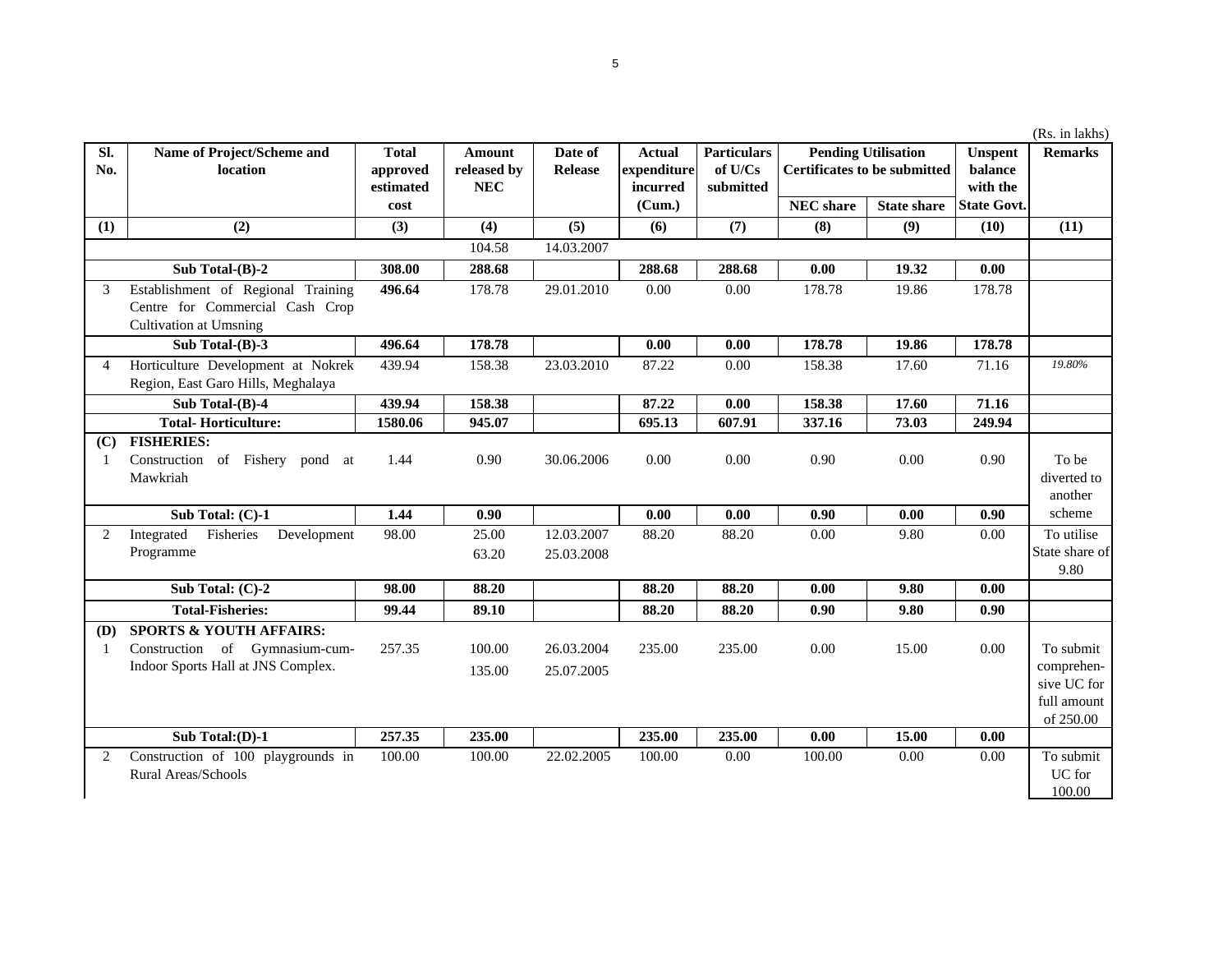| $\overline{sl}$ . |                                        |              |               |            |               |                    |                  |                                     | <b>Unspent</b>     |                |
|-------------------|----------------------------------------|--------------|---------------|------------|---------------|--------------------|------------------|-------------------------------------|--------------------|----------------|
|                   | Name of Project/Scheme and             | <b>Total</b> | <b>Amount</b> | Date of    | <b>Actual</b> | <b>Particulars</b> |                  | <b>Pending Utilisation</b>          |                    | <b>Remarks</b> |
| No.               | location                               | approved     | released by   | Release    | expenditure   | of U/Cs            |                  | <b>Certificates to be submitted</b> | balance            |                |
|                   |                                        | estimated    | <b>NEC</b>    |            | incurred      | submitted          |                  |                                     | with the           |                |
|                   |                                        | cost         |               |            | (Cum.)        |                    | <b>NEC</b> share | <b>State share</b>                  | <b>State Govt.</b> |                |
| (1)               | (2)                                    | (3)          | (4)           | (5)        | (6)           | (7)                | (8)              | (9)                                 | (10)               | (11)           |
|                   |                                        |              | 104.58        | 14.03.2007 |               |                    |                  |                                     |                    |                |
|                   | Sub Total-(B)-2                        | 308.00       | 288.68        |            | 288.68        | 288.68             | 0.00             | 19.32                               | 0.00               |                |
| 3                 | Establishment of Regional Training     | 496.64       | 178.78        | 29.01.2010 | 0.00          | 0.00               | 178.78           | 19.86                               | 178.78             |                |
|                   | Centre for Commercial Cash Crop        |              |               |            |               |                    |                  |                                     |                    |                |
|                   | <b>Cultivation at Umsning</b>          |              |               |            |               |                    |                  |                                     |                    |                |
|                   | Sub Total-(B)-3                        | 496.64       | 178.78        |            | 0.00          | 0.00               | 178.78           | 19.86                               | 178.78             |                |
| $\overline{4}$    | Horticulture Development at Nokrek     | 439.94       | 158.38        | 23.03.2010 | 87.22         | 0.00               | 158.38           | 17.60                               | 71.16              | 19.80%         |
|                   | Region, East Garo Hills, Meghalaya     |              |               |            |               |                    |                  |                                     |                    |                |
|                   | Sub Total-(B)-4                        | 439.94       | 158.38        |            | 87.22         | 0.00               | 158.38           | 17.60                               | 71.16              |                |
|                   | <b>Total-Horticulture:</b>             | 1580.06      | 945.07        |            | 695.13        | 607.91             | 337.16           | 73.03                               | 249.94             |                |
| (C)               | <b>FISHERIES:</b>                      |              |               |            |               |                    |                  |                                     |                    |                |
| -1                | Construction of Fishery<br>pond at     | 1.44         | 0.90          | 30.06.2006 | 0.00          | 0.00               | 0.90             | 0.00                                | 0.90               | To be          |
|                   | Mawkriah                               |              |               |            |               |                    |                  |                                     |                    | diverted to    |
|                   |                                        |              |               |            |               |                    |                  |                                     |                    | another        |
|                   | Sub Total: (C)-1                       | 1.44         | 0.90          |            | 0.00          | 0.00               | 0.90             | 0.00                                | 0.90               | scheme         |
| 2                 | Fisheries<br>Integrated<br>Development | 98.00        | 25.00         | 12.03.2007 | 88.20         | 88.20              | 0.00             | 9.80                                | 0.00               | To utilise     |
|                   | Programme                              |              | 63.20         | 25.03.2008 |               |                    |                  |                                     |                    | State share of |
|                   |                                        |              |               |            |               |                    |                  |                                     |                    | 9.80           |
|                   | Sub Total: (C)-2                       | 98.00        | 88.20         |            | 88.20         | 88.20              | 0.00             | 9.80                                | 0.00               |                |
|                   | <b>Total-Fisheries:</b>                | 99.44        | 89.10         |            | 88.20         | 88.20              | 0.90             | 9.80                                | 0.90               |                |
| (D)               | <b>SPORTS &amp; YOUTH AFFAIRS:</b>     |              |               |            |               |                    |                  |                                     |                    |                |
| -1                | Construction of Gymnasium-cum-         | 257.35       | 100.00        | 26.03.2004 | 235.00        | 235.00             | 0.00             | 15.00                               | 0.00               | To submit      |
|                   | Indoor Sports Hall at JNS Complex.     |              | 135.00        | 25.07.2005 |               |                    |                  |                                     |                    | comprehen-     |
|                   |                                        |              |               |            |               |                    |                  |                                     |                    | sive UC for    |
|                   |                                        |              |               |            |               |                    |                  |                                     |                    | full amount    |
|                   |                                        |              |               |            |               |                    |                  |                                     |                    | of 250.00      |
|                   | Sub Total:(D)-1                        | 257.35       | 235.00        |            | 235.00        | 235.00             | 0.00             | 15.00                               | 0.00               |                |
| 2                 | Construction of 100 playgrounds in     | 100.00       | 100.00        | 22.02.2005 | 100.00        | 0.00               | 100.00           | 0.00                                | 0.00               | To submit      |

Rural Areas/Schools

(Rs. in lakhs)

UC for 100.00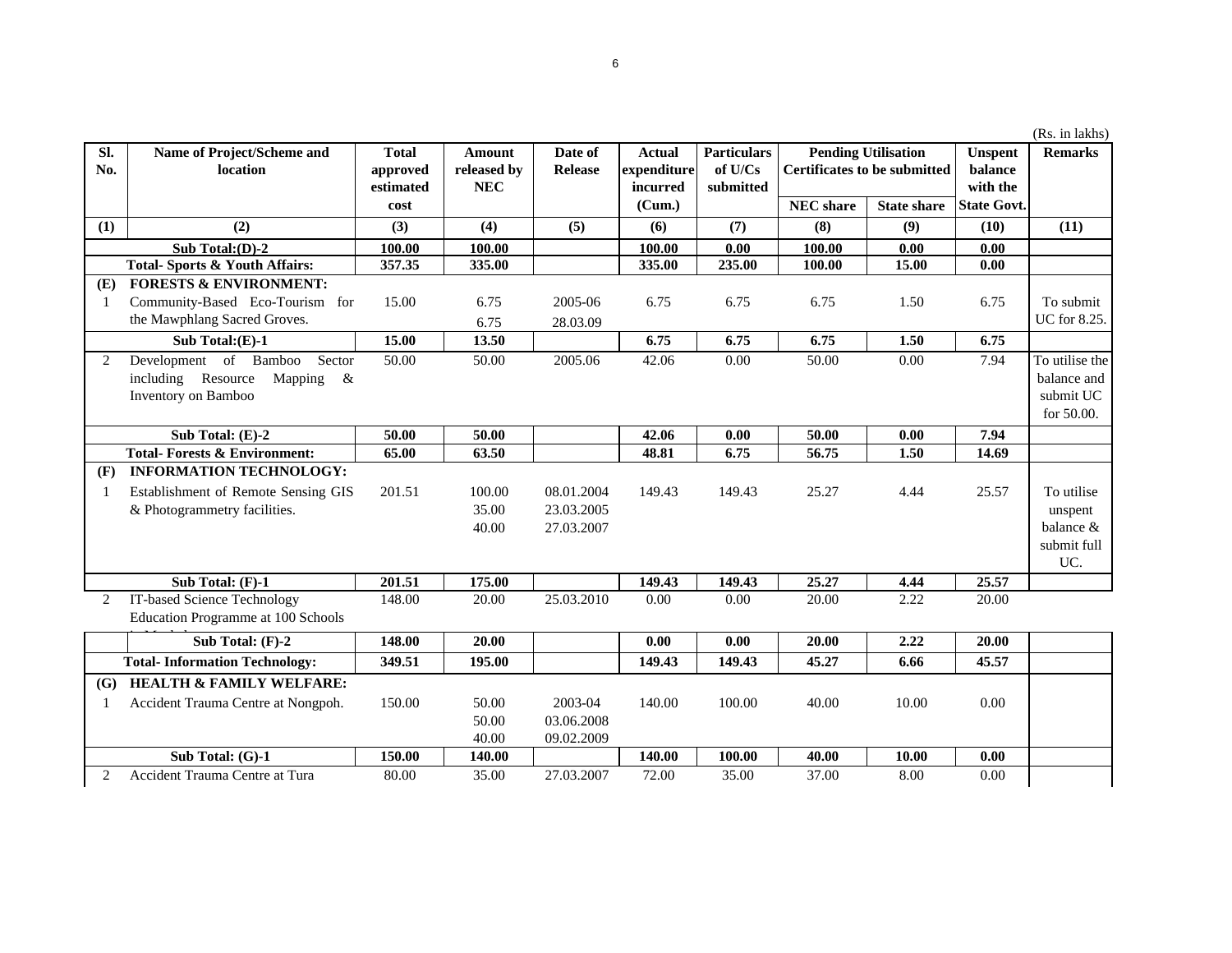|     |                                         |              |             |                |               |                    |                                     |                            |                    | (Rs. in lakhs) |
|-----|-----------------------------------------|--------------|-------------|----------------|---------------|--------------------|-------------------------------------|----------------------------|--------------------|----------------|
| Sl. | Name of Project/Scheme and              | <b>Total</b> | Amount      | Date of        | <b>Actual</b> | <b>Particulars</b> |                                     | <b>Pending Utilisation</b> | <b>Unspent</b>     | <b>Remarks</b> |
| No. | location                                | approved     | released by | <b>Release</b> | expenditure   | of U/Cs            | <b>Certificates to be submitted</b> |                            | balance            |                |
|     |                                         | estimated    | <b>NEC</b>  |                | incurred      | submitted          |                                     |                            | with the           |                |
|     |                                         | cost         |             |                | (Cum.)        |                    | <b>NEC</b> share                    | <b>State share</b>         | <b>State Govt.</b> |                |
| (1) | (2)                                     | (3)          | (4)         | (5)            | (6)           | (7)                | (8)                                 | (9)                        | (10)               | (11)           |
|     | Sub Total: $(D)-2$                      | 100.00       | 100.00      |                | 100.00        | 0.00               | 100.00                              | 0.00                       | 0.00               |                |
|     | Total-Sports & Youth Affairs:           | 357.35       | 335.00      |                | 335.00        | 235.00             | 100.00                              | 15.00                      | 0.00               |                |
| (E) | <b>FORESTS &amp; ENVIRONMENT:</b>       |              |             |                |               |                    |                                     |                            |                    |                |
| -1  | Community-Based Eco-Tourism for         | 15.00        | 6.75        | 2005-06        | 6.75          | 6.75               | 6.75                                | 1.50                       | 6.75               | To submit      |
|     | the Mawphlang Sacred Groves.            |              | 6.75        | 28.03.09       |               |                    |                                     |                            |                    | UC for 8.25.   |
|     | Sub Total: $(E)-1$                      | 15.00        | 13.50       |                | 6.75          | 6.75               | 6.75                                | 1.50                       | 6.75               |                |
| 2   | Development of<br>Bamboo<br>Sector      | 50.00        | 50.00       | 2005.06        | 42.06         | 0.00               | 50.00                               | 0.00                       | 7.94               | To utilise the |
|     | including Resource<br>Mapping<br>- &    |              |             |                |               |                    |                                     |                            |                    | balance and    |
|     | Inventory on Bamboo                     |              |             |                |               |                    |                                     |                            |                    | submit UC      |
|     |                                         |              |             |                |               |                    |                                     |                            |                    | for $50.00$ .  |
|     | Sub Total: (E)-2                        | 50.00        | 50.00       |                | 42.06         | 0.00               | 50.00                               | 0.00                       | 7.94               |                |
|     | <b>Total-Forests &amp; Environment:</b> | 65.00        | 63.50       |                | 48.81         | 6.75               | 56.75                               | 1.50                       | 14.69              |                |
| (F) | <b>INFORMATION TECHNOLOGY:</b>          |              |             |                |               |                    |                                     |                            |                    |                |
| -1  | Establishment of Remote Sensing GIS     | 201.51       | 100.00      | 08.01.2004     | 149.43        | 149.43             | 25.27                               | 4.44                       | 25.57              | To utilise     |
|     | & Photogrammetry facilities.            |              | 35.00       | 23.03.2005     |               |                    |                                     |                            |                    | unspent        |
|     |                                         |              | 40.00       | 27.03.2007     |               |                    |                                     |                            |                    | balance $\&$   |
|     |                                         |              |             |                |               |                    |                                     |                            |                    | submit full    |
|     |                                         |              |             |                |               |                    |                                     |                            |                    | UC.            |
|     | Sub Total: $(F)-1$                      | 201.51       | 175.00      |                | 149.43        | 149.43             | 25,27                               | 4.44                       | 25.57              |                |
|     | IT-based Science Technology             | 148.00       | 20.00       | 25.03.2010     | 0.00          | 0.00               | 20.00                               | 2.22                       | 20.00              |                |

**(F) INFORMATION TECHNOLOGY:**1 201.51 100.00 08.01.2004 149.43 149.43 25.27 4.44 25.572 148.00 20.00 25.03.2010 0.00 0.00 20.00 2.22 20.00IT-based Science Technology  $0.00$ **Sub Total: (F)-2 148.00 20.00 0.00 0.00 20.00 2.22 20.00 349.51 195.00 149.43 149.43 45.27 6.66 45.57**45.57 **(G) HEALTH & FAMILY WELFARE:** 1 Accident Trauma Centre at Nongpoh. 150.00 50.00 2003-04 140.00 100.00 40.00 10.00 0.00 50.00 03.06.2008 40.00 09.02.2009 **150.00 140.00 140.00 100.00 40.00 10.00 0.00**2 Accident Trauma Centre at Tura 80.00 35.00 27.03.2007 72.00 35.00 37.00 8.00 0.00Establishment & Photogra **Sub Total: (G)-1**  $S$ ub **Total- Information Technology:** Education Programme at 100 Schools  $\cdots$ **Total-Fore Sub**<br>2 IT-based So

## 6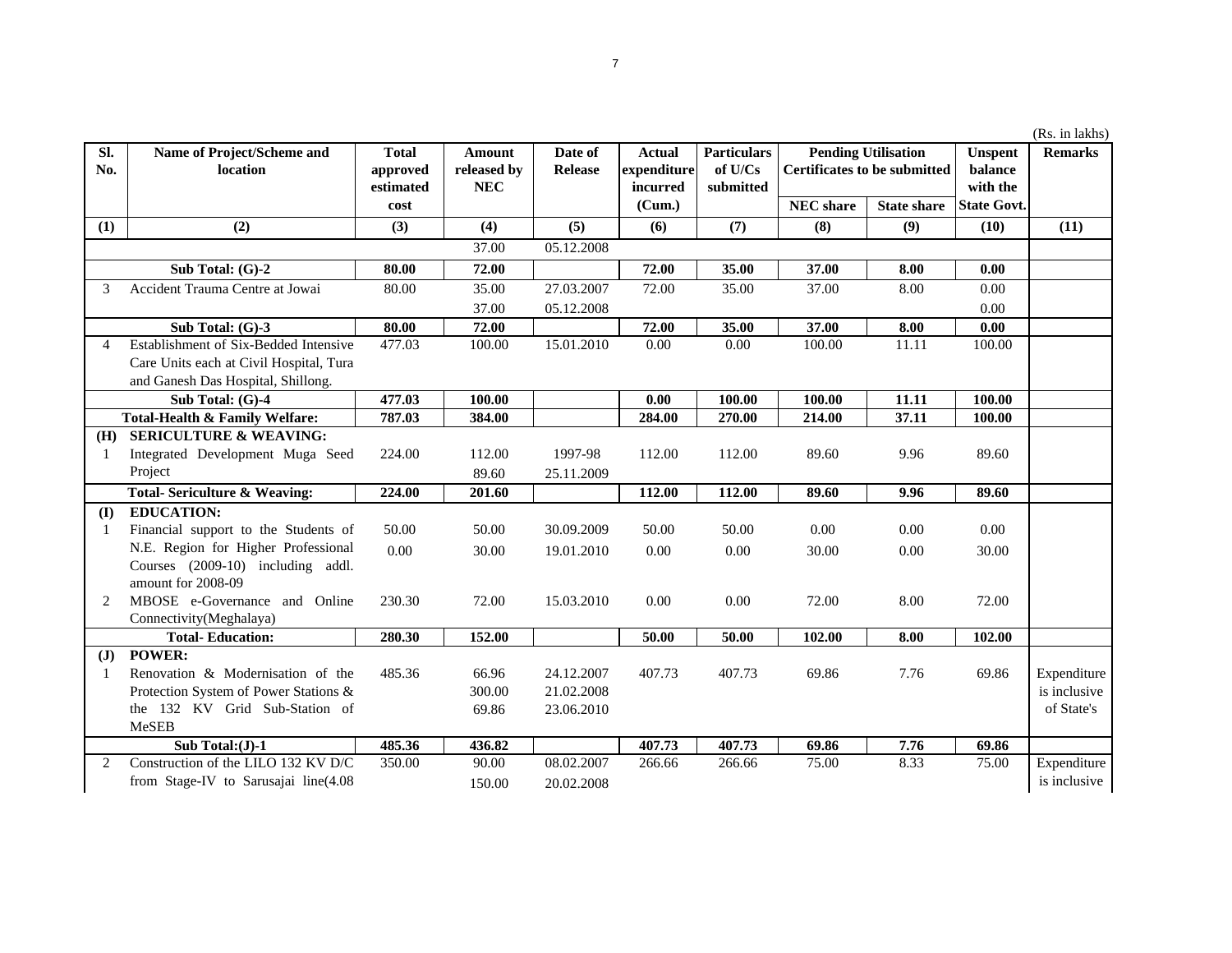| (Rs. in lakhs) |  |  |  |
|----------------|--|--|--|
|                |  |  |  |

| Sl.<br>No.     | Name of Project/Scheme and<br>location              | <b>Total</b><br>approved | Amount<br>released by | Date of<br><b>Release</b> | <b>Actual</b><br>expenditure | <b>Particulars</b><br>of U/Cs | <b>Pending Utilisation</b><br><b>Certificates to be submitted</b> |                    | <b>Unspent</b><br>balance | <b>Remarks</b> |
|----------------|-----------------------------------------------------|--------------------------|-----------------------|---------------------------|------------------------------|-------------------------------|-------------------------------------------------------------------|--------------------|---------------------------|----------------|
|                |                                                     | estimated                | <b>NEC</b>            |                           | incurred                     | submitted                     |                                                                   |                    | with the                  |                |
|                |                                                     | cost                     |                       |                           | (Cum.)                       |                               | <b>NEC</b> share                                                  | <b>State share</b> | <b>State Govt.</b>        |                |
| (1)            | (2)                                                 | (3)                      | (4)                   | (5)                       | (6)                          | (7)                           | (8)                                                               | (9)                | (10)                      | (11)           |
|                |                                                     |                          | 37.00                 | 05.12.2008                |                              |                               |                                                                   |                    |                           |                |
|                | Sub Total: (G)-2                                    | 80.00                    | 72.00                 |                           | 72.00                        | 35.00                         | 37.00                                                             | 8.00               | 0.00                      |                |
| 3              | Accident Trauma Centre at Jowai                     | 80.00                    | 35.00                 | 27.03.2007                | 72.00                        | 35.00                         | 37.00                                                             | 8.00               | 0.00                      |                |
|                |                                                     |                          | 37.00                 | 05.12.2008                |                              |                               |                                                                   |                    | 0.00                      |                |
|                | Sub Total: (G)-3                                    | 80.00                    | 72.00                 |                           | 72.00                        | 35.00                         | 37.00                                                             | 8.00               | 0.00                      |                |
| $\overline{4}$ | Establishment of Six-Bedded Intensive               | 477.03                   | 100.00                | 15.01.2010                | 0.00                         | 0.00                          | 100.00                                                            | 11.11              | 100.00                    |                |
|                | Care Units each at Civil Hospital, Tura             |                          |                       |                           |                              |                               |                                                                   |                    |                           |                |
|                | and Ganesh Das Hospital, Shillong.                  |                          |                       |                           |                              |                               |                                                                   |                    |                           |                |
|                | Sub Total: (G)-4                                    | 477.03                   | 100.00                |                           | 0.00                         | 100.00                        | 100.00                                                            | 11.11              | 100.00                    |                |
|                | Total-Health & Family Welfare:                      | 787.03                   | 384.00                |                           | 284.00                       | 270.00                        | 214.00                                                            | 37.11              | 100.00                    |                |
| (H)            | <b>SERICULTURE &amp; WEAVING:</b>                   |                          |                       |                           |                              |                               |                                                                   |                    |                           |                |
| -1             | Integrated Development Muga Seed                    | 224.00                   | 112.00                | 1997-98                   | 112.00                       | 112.00                        | 89.60                                                             | 9.96               | 89.60                     |                |
|                | Project                                             |                          | 89.60                 | 25.11.2009                |                              |                               |                                                                   |                    |                           |                |
|                | <b>Total-Sericulture &amp; Weaving:</b>             | 224.00                   | 201.60                |                           | 112.00                       | 112.00                        | 89.60                                                             | 9.96               | 89.60                     |                |
| (I)            | <b>EDUCATION:</b>                                   |                          |                       |                           |                              |                               |                                                                   |                    |                           |                |
| -1             | Financial support to the Students of                | 50.00                    | 50.00                 | 30.09.2009                | 50.00                        | 50.00                         | 0.00                                                              | 0.00               | 0.00                      |                |
|                | N.E. Region for Higher Professional                 | 0.00                     | 30.00                 | 19.01.2010                | 0.00                         | 0.00                          | 30.00                                                             | 0.00               | 30.00                     |                |
|                | Courses (2009-10) including addl.                   |                          |                       |                           |                              |                               |                                                                   |                    |                           |                |
| 2              | amount for 2008-09<br>MBOSE e-Governance and Online | 230.30                   | 72.00                 | 15.03.2010                | 0.00                         | 0.00                          | 72.00                                                             | 8.00               | 72.00                     |                |
|                | Connectivity(Meghalaya)                             |                          |                       |                           |                              |                               |                                                                   |                    |                           |                |
|                | <b>Total-Education:</b>                             | 280.30                   | 152.00                |                           | 50.00                        | 50.00                         | 102.00                                                            | 8.00               | 102.00                    |                |
| ( <b>J</b> )   | <b>POWER:</b>                                       |                          |                       |                           |                              |                               |                                                                   |                    |                           |                |
| -1             | Renovation & Modernisation of the                   | 485.36                   | 66.96                 | 24.12.2007                | 407.73                       | 407.73                        | 69.86                                                             | 7.76               | 69.86                     | Expenditure    |
|                | Protection System of Power Stations &               |                          | 300.00                | 21.02.2008                |                              |                               |                                                                   |                    |                           | is inclusive   |
|                | the 132 KV Grid Sub-Station of                      |                          | 69.86                 | 23.06.2010                |                              |                               |                                                                   |                    |                           | of State's     |
|                | <b>MeSEB</b>                                        |                          |                       |                           |                              |                               |                                                                   |                    |                           |                |
|                | Sub Total: $(J)$ -1                                 | 485.36                   | 436.82                |                           | 407.73                       | 407.73                        | 69.86                                                             | 7.76               | 69.86                     |                |
| 2              | Construction of the LILO 132 KV D/C                 | 350.00                   | 90.00                 | 08.02.2007                | 266.66                       | 266.66                        | 75.00                                                             | 8.33               | 75.00                     | Expenditure    |
|                | from Stage-IV to Sarusajai line(4.08                |                          | 150.00                | 20.02.2008                |                              |                               |                                                                   |                    |                           | is inclusive   |
|                |                                                     |                          |                       |                           |                              |                               |                                                                   |                    |                           |                |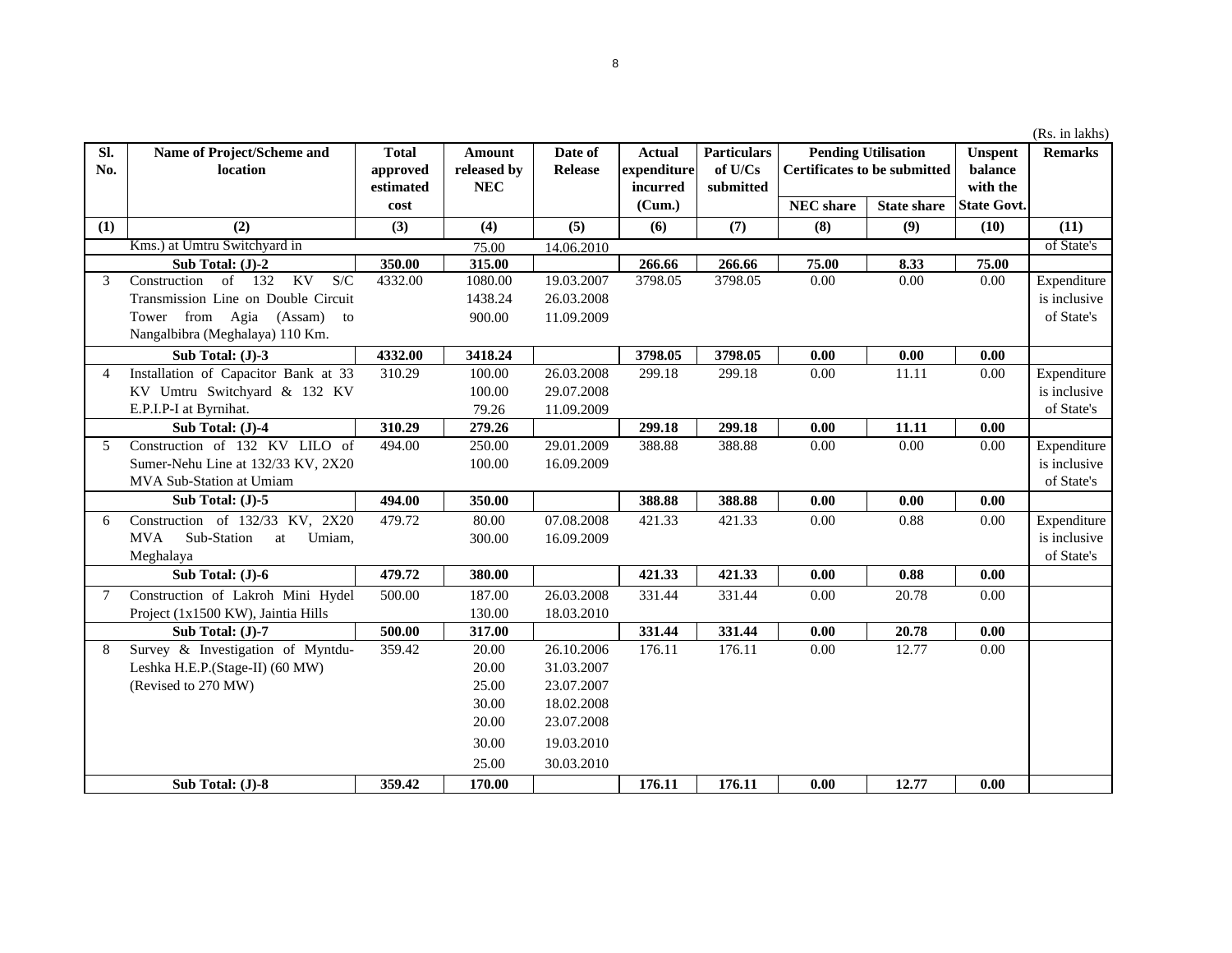**Actual** 

8

**Date of Release**

**Amount** 

**Total** 

**Name of Project/Scheme and location**

**Sl. No.**

## (Rs. in lakhs) **NEC share State shareUnspent balance with the State Govt.Pending Utilisation | Unspent | Remarks Certificates to be submitted Particulars**

| No.            | location                                  | approved  | released by | Release    | expenditure | of U/Cs   | <b>Certificates to be submitted</b> |                    | balance            |              |
|----------------|-------------------------------------------|-----------|-------------|------------|-------------|-----------|-------------------------------------|--------------------|--------------------|--------------|
|                |                                           | estimated | <b>NEC</b>  |            | incurred    | submitted |                                     |                    | with the           |              |
|                |                                           | cost      |             |            | (Cum.)      |           | <b>NEC</b> share                    | <b>State share</b> | <b>State Govt.</b> |              |
| (1)            | (2)                                       | (3)       | (4)         | (5)        | (6)         | (7)       | (8)                                 | (9)                | (10)               | (11)         |
|                | Kms.) at Umtru Switchyard in              |           | 75.00       | 14.06.2010 |             |           |                                     |                    |                    | of State's   |
|                | Sub Total: (J)-2                          | 350.00    | 315.00      |            | 266.66      | 266.66    | 75.00                               | 8.33               | 75.00              |              |
| 3              | of 132<br>KV<br>S/C<br>Construction       | 4332.00   | 1080.00     | 19.03.2007 | 3798.05     | 3798.05   | 0.00                                | 0.00               | 0.00               | Expenditure  |
|                | Transmission Line on Double Circuit       |           | 1438.24     | 26.03.2008 |             |           |                                     |                    |                    | is inclusive |
|                | Tower from Agia (Assam) to                |           | 900.00      | 11.09.2009 |             |           |                                     |                    |                    | of State's   |
|                | Nangalbibra (Meghalaya) 110 Km.           |           |             |            |             |           |                                     |                    |                    |              |
|                | Sub Total: (J)-3                          | 4332.00   | 3418.24     |            | 3798.05     | 3798.05   | 0.00                                | 0.00               | 0.00               |              |
| $\overline{A}$ | Installation of Capacitor Bank at 33      | 310.29    | 100.00      | 26.03.2008 | 299.18      | 299.18    | 0.00                                | 11.11              | 0.00               | Expenditure  |
|                | KV Umtru Switchyard & 132 KV              |           | 100.00      | 29.07.2008 |             |           |                                     |                    |                    | is inclusive |
|                | E.P.I.P-I at Byrnihat.                    |           | 79.26       | 11.09.2009 |             |           |                                     |                    |                    | of State's   |
|                | Sub Total: (J)-4                          | 310.29    | 279.26      |            | 299.18      | 299.18    | 0.00                                | 11.11              | 0.00               |              |
| 5              | Construction of 132 KV LILO of            | 494.00    | 250.00      | 29.01.2009 | 388.88      | 388.88    | 0.00                                | 0.00               | 0.00               | Expenditure  |
|                | Sumer-Nehu Line at 132/33 KV, 2X20        |           | 100.00      | 16.09.2009 |             |           |                                     |                    |                    | is inclusive |
|                | MVA Sub-Station at Umiam                  |           |             |            |             |           |                                     |                    |                    | of State's   |
|                | Sub Total: (J)-5                          | 494.00    | 350.00      |            | 388.88      | 388.88    | 0.00                                | 0.00               | 0.00               |              |
| 6              | Construction of 132/33 KV, 2X20           | 479.72    | 80.00       | 07.08.2008 | 421.33      | 421.33    | 0.00                                | 0.88               | 0.00               | Expenditure  |
|                | <b>MVA</b><br>Sub-Station<br>Umiam,<br>at |           | 300.00      | 16.09.2009 |             |           |                                     |                    |                    | is inclusive |
|                | Meghalaya                                 |           |             |            |             |           |                                     |                    |                    | of State's   |
|                | Sub Total: (J)-6                          | 479.72    | 380.00      |            | 421.33      | 421.33    | 0.00                                | 0.88               | 0.00               |              |
|                | Construction of Lakroh Mini Hydel         | 500.00    | 187.00      | 26.03.2008 | 331.44      | 331.44    | 0.00                                | 20.78              | 0.00               |              |
|                | Project (1x1500 KW), Jaintia Hills        |           | 130.00      | 18.03.2010 |             |           |                                     |                    |                    |              |
|                | Sub Total: (J)-7                          | 500.00    | 317.00      |            | 331.44      | 331.44    | 0.00                                | 20.78              | 0.00               |              |
| 8              | Survey & Investigation of Myntdu-         | 359.42    | 20.00       | 26.10.2006 | 176.11      | 176.11    | $0.00\,$                            | 12.77              | 0.00               |              |
|                | Leshka H.E.P.(Stage-II) (60 MW)           |           | 20.00       | 31.03.2007 |             |           |                                     |                    |                    |              |
|                | (Revised to 270 MW)                       |           | 25.00       | 23.07.2007 |             |           |                                     |                    |                    |              |
|                |                                           |           | 30.00       | 18.02.2008 |             |           |                                     |                    |                    |              |
|                |                                           |           | 20.00       | 23.07.2008 |             |           |                                     |                    |                    |              |
|                |                                           |           | 30.00       | 19.03.2010 |             |           |                                     |                    |                    |              |
|                |                                           |           | 25.00       | 30.03.2010 |             |           |                                     |                    |                    |              |
|                | Sub Total: (J)-8                          | 359.42    | 170.00      |            | 176.11      | 176.11    | 0.00                                | 12.77              | 0.00               |              |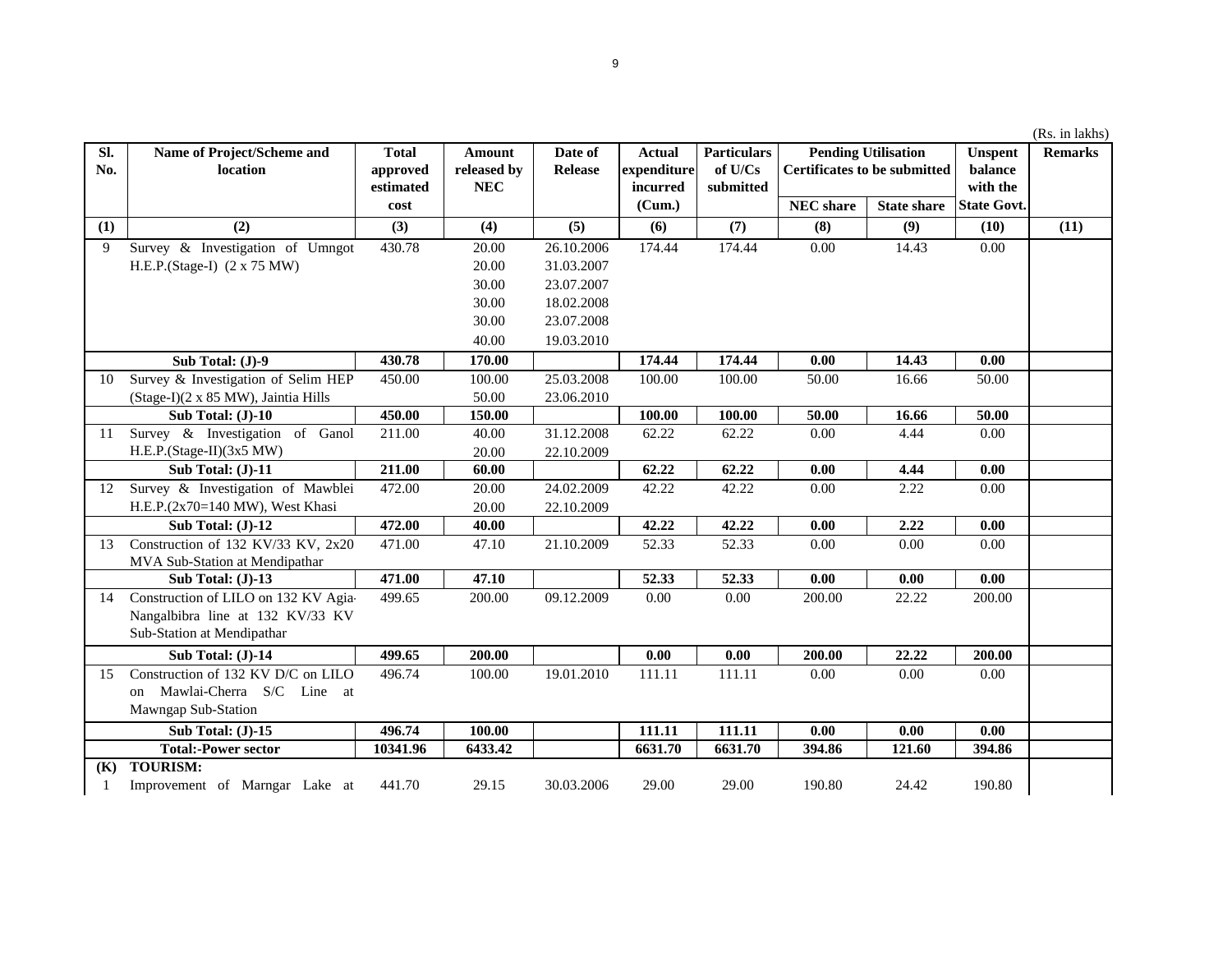| SI. | Name of Project/Scheme and           | <b>Total</b> | Amount      | Date of        | <b>Actual</b> | <b>Particulars</b> | <b>Pending Utilisation</b><br><b>Certificates to be submitted</b> |                    | <b>Unspent</b>     | <b>Remarks</b> |
|-----|--------------------------------------|--------------|-------------|----------------|---------------|--------------------|-------------------------------------------------------------------|--------------------|--------------------|----------------|
| No. | location                             | approved     | released by | <b>Release</b> | expenditure   | of U/Cs            |                                                                   |                    | balance            |                |
|     |                                      | estimated    | <b>NEC</b>  |                | incurred      | submitted          |                                                                   |                    | with the           |                |
|     |                                      | cost         |             |                | (Cum.)        |                    | <b>NEC</b> share                                                  | <b>State share</b> | <b>State Govt.</b> |                |
| (1) | (2)                                  | (3)          | (4)         | (5)            | (6)           | (7)                | (8)                                                               | (9)                | (10)               | (11)           |
| 9   | Survey & Investigation of Umngot     | 430.78       | 20.00       | 26.10.2006     | 174.44        | 174.44             | 0.00                                                              | 14.43              | 0.00               |                |
|     | H.E.P.(Stage-I) (2 x 75 MW)          |              | 20.00       | 31.03.2007     |               |                    |                                                                   |                    |                    |                |
|     |                                      |              | 30.00       | 23.07.2007     |               |                    |                                                                   |                    |                    |                |
|     |                                      |              | 30.00       | 18.02.2008     |               |                    |                                                                   |                    |                    |                |
|     |                                      |              | 30.00       | 23.07.2008     |               |                    |                                                                   |                    |                    |                |
|     |                                      |              | 40.00       | 19.03.2010     |               |                    |                                                                   |                    |                    |                |
|     | Sub Total: (J)-9                     | 430.78       | 170.00      |                | 174.44        | 174.44             | 0.00                                                              | 14.43              | 0.00               |                |
| 10  | Survey & Investigation of Selim HEP  | 450.00       | 100.00      | 25.03.2008     | 100.00        | 100.00             | 50.00                                                             | 16.66              | 50.00              |                |
|     | (Stage-I)(2 x 85 MW), Jaintia Hills  |              | 50.00       | 23.06.2010     |               |                    |                                                                   |                    |                    |                |
|     | Sub Total: $(J)$ -10                 | 450.00       | 150.00      |                | 100.00        | 100.00             | 50.00                                                             | 16.66              | 50.00              |                |
| 11  | Survey & Investigation of Ganol      | 211.00       | 40.00       | 31.12.2008     | 62.22         | 62.22              | 0.00                                                              | 4.44               | 0.00               |                |
|     | H.E.P.(Stage-II)(3x5 MW)             |              | 20.00       | 22.10.2009     |               |                    |                                                                   |                    |                    |                |
|     | Sub Total: (J)-11                    | 211.00       | 60.00       |                | 62.22         | 62.22              | 0.00                                                              | 4.44               | 0.00               |                |
| 12  | Survey & Investigation of Mawblei    | 472.00       | 20.00       | 24.02.2009     | 42.22         | 42.22              | 0.00                                                              | 2.22               | 0.00               |                |
|     | H.E.P.(2x70=140 MW), West Khasi      |              | 20.00       | 22.10.2009     |               |                    |                                                                   |                    |                    |                |
|     | Sub Total: (J)-12                    | 472.00       | 40.00       |                | 42.22         | 42.22              | 0.00                                                              | 2.22               | 0.00               |                |
| 13  | Construction of 132 KV/33 KV, 2x20   | 471.00       | 47.10       | 21.10.2009     | 52.33         | 52.33              | 0.00                                                              | 0.00               | 0.00               |                |
|     | MVA Sub-Station at Mendipathar       |              |             |                |               |                    |                                                                   |                    |                    |                |
|     | Sub Total: (J)-13                    | 471.00       | 47.10       |                | 52.33         | 52.33              | 0.00                                                              | 0.00               | 0.00               |                |
| 14  | Construction of LILO on 132 KV Agia- | 499.65       | 200.00      | 09.12.2009     | 0.00          | 0.00               | 200.00                                                            | 22.22              | 200.00             |                |
|     | Nangalbibra line at 132 KV/33 KV     |              |             |                |               |                    |                                                                   |                    |                    |                |
|     | Sub-Station at Mendipathar           |              |             |                |               |                    |                                                                   |                    |                    |                |
|     | Sub Total: (J)-14                    | 499.65       | 200.00      |                | 0.00          | 0.00               | 200.00                                                            | 22.22              | 200.00             |                |
| 15  | Construction of 132 KV D/C on LILO   | 496.74       | 100.00      | 19.01.2010     | 111.11        | 111.11             | 0.00                                                              | 0.00               | 0.00               |                |
|     | Mawlai-Cherra S/C Line at<br>on      |              |             |                |               |                    |                                                                   |                    |                    |                |
|     | Mawngap Sub-Station                  |              |             |                |               |                    |                                                                   |                    |                    |                |
|     | Sub Total: (J)-15                    | 496.74       | 100.00      |                | 111.11        | 111.11             | 0.00                                                              | 0.00               | 0.00               |                |
|     | <b>Total:-Power sector</b>           | 10341.96     | 6433.42     |                | 6631.70       | 6631.70            | 394.86                                                            | 121.60             | 394.86             |                |
| (K) | <b>TOURISM:</b>                      |              |             |                |               |                    |                                                                   |                    |                    |                |
| -1  | Improvement of Marngar Lake at       | 441.70       | 29.15       | 30.03.2006     | 29.00         | 29.00              | 190.80                                                            | 24.42              | 190.80             |                |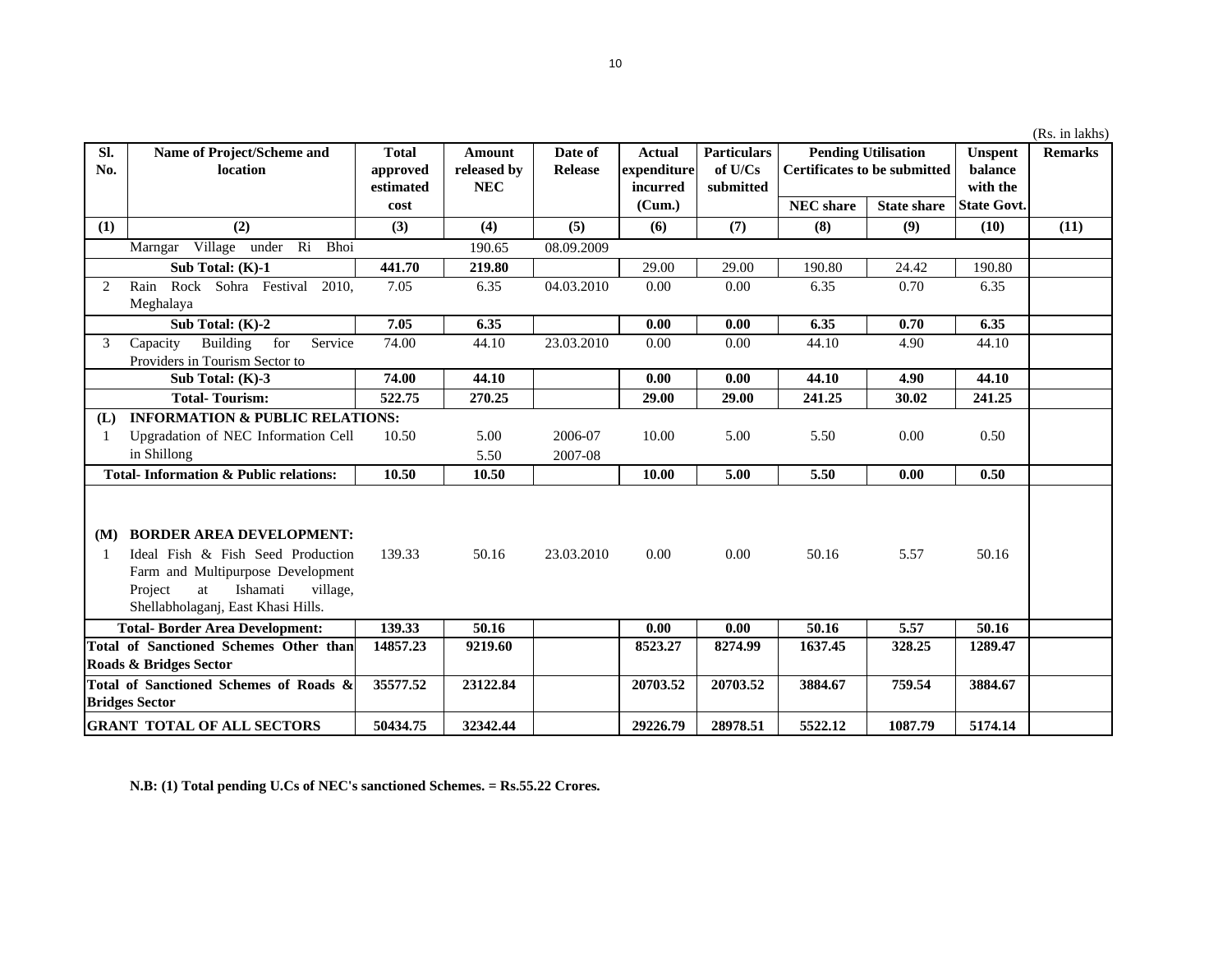|                                                  |                                                                                                                                                       |              |             |            |             |                    |                                                                   |                    |                    | (Rs. in lakhs) |
|--------------------------------------------------|-------------------------------------------------------------------------------------------------------------------------------------------------------|--------------|-------------|------------|-------------|--------------------|-------------------------------------------------------------------|--------------------|--------------------|----------------|
| SI.                                              | Name of Project/Scheme and                                                                                                                            | <b>Total</b> | Amount      | Date of    | Actual      | <b>Particulars</b> | <b>Pending Utilisation</b><br><b>Certificates to be submitted</b> |                    | <b>Unspent</b>     | <b>Remarks</b> |
| No.                                              | location                                                                                                                                              | approved     | released by | Release    | expenditure | of U/Cs            |                                                                   |                    | balance            |                |
|                                                  |                                                                                                                                                       | estimated    | <b>NEC</b>  |            | incurred    | submitted          |                                                                   |                    | with the           |                |
|                                                  |                                                                                                                                                       | cost         |             |            | (Cum.)      |                    | <b>NEC</b> share                                                  | <b>State share</b> | <b>State Govt.</b> |                |
| (1)                                              | (2)                                                                                                                                                   | (3)          | (4)         | (5)        | (6)         | (7)                | (8)                                                               | (9)                | (10)               | (11)           |
|                                                  | Marngar Village under Ri Bhoi                                                                                                                         |              | 190.65      | 08.09.2009 |             |                    |                                                                   |                    |                    |                |
|                                                  | Sub Total: (K)-1                                                                                                                                      | 441.70       | 219.80      |            | 29.00       | 29.00              | 190.80                                                            | 24.42              | 190.80             |                |
| 2                                                | Rock Sohra Festival<br>Rain<br>2010.                                                                                                                  | 7.05         | 6.35        | 04.03.2010 | 0.00        | 0.00               | 6.35                                                              | 0.70               | 6.35               |                |
|                                                  | Meghalaya                                                                                                                                             |              |             |            |             |                    |                                                                   |                    |                    |                |
|                                                  | Sub Total: (K)-2                                                                                                                                      | 7.05         | 6.35        |            | 0.00        | 0.00               | 6.35                                                              | 0.70               | 6.35               |                |
| 3                                                | Building<br>for<br>Service<br>Capacity                                                                                                                | 74.00        | 44.10       | 23.03.2010 | 0.00        | 0.00               | 44.10                                                             | 4.90               | 44.10              |                |
|                                                  | Providers in Tourism Sector to                                                                                                                        |              |             |            |             |                    |                                                                   |                    |                    |                |
|                                                  | Sub Total: $(K)-3$                                                                                                                                    | 74.00        | 44.10       |            | 0.00        | 0.00               | 44.10                                                             | 4.90               | 44.10              |                |
|                                                  | <b>Total-Tourism:</b>                                                                                                                                 | 522.75       | 270.25      |            | 29.00       | 29.00              | 241.25                                                            | 30.02              | 241.25             |                |
| (L)                                              | <b>INFORMATION &amp; PUBLIC RELATIONS:</b>                                                                                                            |              |             |            |             |                    |                                                                   |                    |                    |                |
|                                                  | Upgradation of NEC Information Cell                                                                                                                   | 10.50        | 5.00        | 2006-07    | 10.00       | 5.00               | 5.50                                                              | 0.00               | 0.50               |                |
|                                                  | in Shillong                                                                                                                                           |              | 5.50        | 2007-08    |             |                    |                                                                   |                    |                    |                |
| <b>Total-Information &amp; Public relations:</b> |                                                                                                                                                       | 10.50        | 10.50       |            | 10.00       | 5.00               | 5.50                                                              | 0.00               | 0.50               |                |
| (M)                                              | <b>BORDER AREA DEVELOPMENT:</b>                                                                                                                       |              |             |            |             |                    |                                                                   |                    |                    |                |
|                                                  | Ideal Fish & Fish Seed Production<br>Farm and Multipurpose Development<br>Ishamati<br>Project<br>at<br>village,<br>Shellabholaganj, East Khasi Hills. | 139.33       | 50.16       | 23.03.2010 | 0.00        | 0.00               | 50.16                                                             | 5.57               | 50.16              |                |
|                                                  | <b>Total-Border Area Development:</b>                                                                                                                 | 139.33       | 50.16       |            | 0.00        | 0.00               | 50.16                                                             | 5.57               | 50.16              |                |
|                                                  | Total of Sanctioned Schemes Other than                                                                                                                | 14857.23     | 9219.60     |            | 8523.27     | 8274.99            | 1637.45                                                           | 328.25             | 1289.47            |                |
|                                                  | Roads & Bridges Sector                                                                                                                                |              |             |            |             |                    |                                                                   |                    |                    |                |
|                                                  | Total of Sanctioned Schemes of Roads &<br><b>Bridges Sector</b>                                                                                       | 35577.52     | 23122.84    |            | 20703.52    | 20703.52           | 3884.67                                                           | 759.54             | 3884.67            |                |
|                                                  | <b>GRANT TOTAL OF ALL SECTORS</b>                                                                                                                     | 50434.75     | 32342.44    |            | 29226.79    | 28978.51           | 5522.12                                                           | 1087.79            | 5174.14            |                |

**N.B: (1) Total pending U.Cs of NEC's sanctioned Schemes. = Rs.55.22 Crores.**